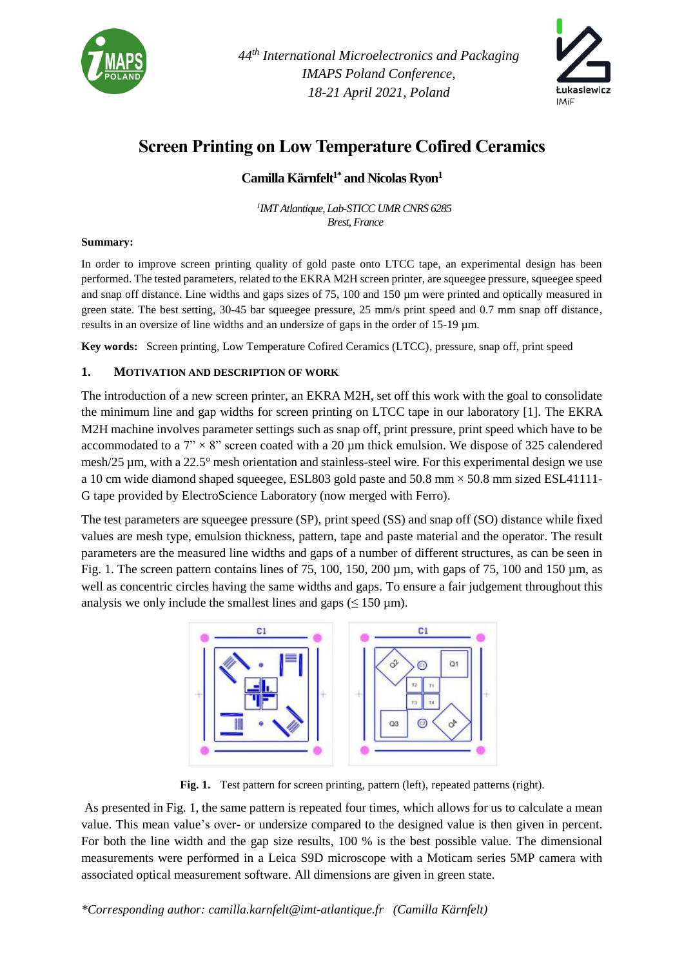

*44 th International Microelectronics and Packaging IMAPS Poland Conference, 18-21 April 2021, Poland*



# **Screen Printing on Low Temperature Cofired Ceramics**

## **Camilla Kärnfelt1\* and Nicolas Ryon<sup>1</sup>**

*1 IMT Atlantique, Lab-STICC UMR CNRS 6285 Brest, France*

#### **Summary:**

In order to improve screen printing quality of gold paste onto LTCC tape, an experimental design has been performed. The tested parameters, related to the EKRA M2H screen printer, are squeegee pressure, squeegee speed and snap off distance. Line widths and gaps sizes of 75, 100 and 150 µm were printed and optically measured in green state. The best setting, 30-45 bar squeegee pressure, 25 mm/s print speed and 0.7 mm snap off distance, results in an oversize of line widths and an undersize of gaps in the order of 15-19 µm.

**Key words:** Screen printing, Low Temperature Cofired Ceramics (LTCC), pressure, snap off, print speed

#### **1. MOTIVATION AND DESCRIPTION OF WORK**

The introduction of a new screen printer, an EKRA M2H, set off this work with the goal to consolidate the minimum line and gap widths for screen printing on LTCC tape in our laboratory [1]. The EKRA M2H machine involves parameter settings such as snap off, print pressure, print speed which have to be accommodated to a  $7$ "  $\times$  8" screen coated with a 20  $\mu$ m thick emulsion. We dispose of 325 calendered mesh/25 µm, with a 22.5° mesh orientation and stainless-steel wire. For this experimental design we use a 10 cm wide diamond shaped squeegee, ESL803 gold paste and  $50.8 \text{ mm} \times 50.8 \text{ mm}$  sized ESL41111-G tape provided by ElectroScience Laboratory (now merged with Ferro).

The test parameters are squeegee pressure (SP), print speed (SS) and snap off (SO) distance while fixed values are mesh type, emulsion thickness, pattern, tape and paste material and the operator. The result parameters are the measured line widths and gaps of a number of different structures, as can be seen in [Fig. 1.](#page-0-0) The screen pattern contains lines of 75, 100, 150, 200  $\mu$ m, with gaps of 75, 100 and 150  $\mu$ m, as well as concentric circles having the same widths and gaps. To ensure a fair judgement throughout this analysis we only include the smallest lines and gaps ( $\leq 150 \,\mu$ m).



Fig. 1. Test pattern for screen printing, pattern (left), repeated patterns (right).

<span id="page-0-0"></span>As presented i[n Fig. 1,](#page-0-0) the same pattern is repeated four times, which allows for us to calculate a mean value. This mean value's over- or undersize compared to the designed value is then given in percent. For both the line width and the gap size results, 100 % is the best possible value. The dimensional measurements were performed in a Leica S9D microscope with a Moticam series 5MP camera with associated optical measurement software. All dimensions are given in green state.

*\*Corresponding author: camilla.karnfelt@imt-atlantique.fr (Camilla Kärnfelt)*